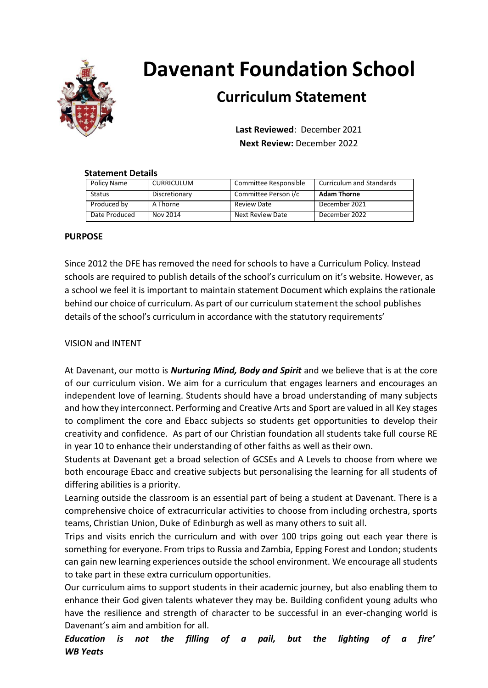

# **Davenant Foundation School**

# **Curriculum Statement**

**Last Reviewed**: December 2021 **Next Review:** December 2022

# **Statement Details**

| Policy Name   | <b>CURRICULUM</b> | Committee Responsible | <b>Curriculum and Standards</b> |
|---------------|-------------------|-----------------------|---------------------------------|
| <b>Status</b> | Discretionary     | Committee Person i/c  | <b>Adam Thorne</b>              |
| Produced by   | A Thorne          | Review Date           | December 2021                   |
| Date Produced | Nov 2014          | Next Review Date      | December 2022                   |

# **PURPOSE**

Since 2012 the DFE has removed the need for schools to have a Curriculum Policy. Instead schools are required to publish details of the school's curriculum on it's website. However, as a school we feel it is important to maintain statement Document which explains the rationale behind our choice of curriculum. As part of our curriculum statement the school publishes details of the school's curriculum in accordance with the statutory requirements'

# VISION and INTENT

At Davenant, our motto is *Nurturing Mind, Body and Spirit* and we believe that is at the core of our curriculum vision. We aim for a curriculum that engages learners and encourages an independent love of learning. Students should have a broad understanding of many subjects and how they interconnect. Performing and Creative Arts and Sport are valued in all Key stages to compliment the core and Ebacc subjects so students get opportunities to develop their creativity and confidence. As part of our Christian foundation all students take full course RE in year 10 to enhance their understanding of other faiths as well as their own.

Students at Davenant get a broad selection of GCSEs and A Levels to choose from where we both encourage Ebacc and creative subjects but personalising the learning for all students of differing abilities is a priority.

Learning outside the classroom is an essential part of being a student at Davenant. There is a comprehensive choice of extracurricular activities to choose from including orchestra, sports teams, Christian Union, Duke of Edinburgh as well as many others to suit all.

Trips and visits enrich the curriculum and with over 100 trips going out each year there is something for everyone. From trips to Russia and Zambia, Epping Forest and London; students can gain new learning experiences outside the school environment. We encourage all students to take part in these extra curriculum opportunities.

Our curriculum aims to support students in their academic journey, but also enabling them to enhance their God given talents whatever they may be. Building confident young adults who have the resilience and strength of character to be successful in an ever-changing world is Davenant's aim and ambition for all.

*Education is not the filling of a pail, but the lighting of a fire' WB Yeats*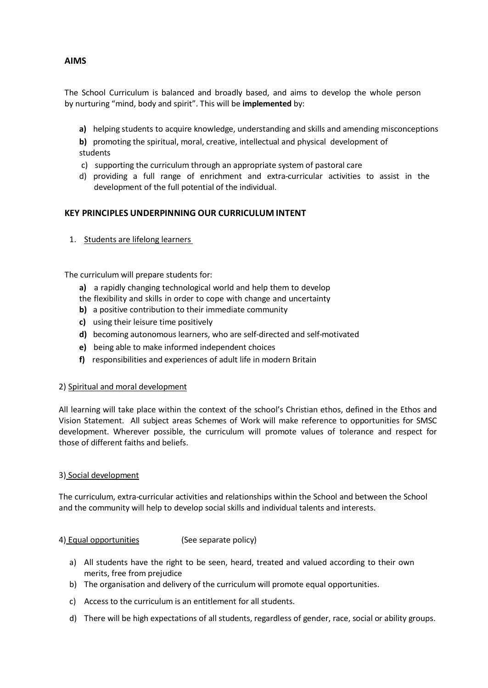# **AIMS**

The School Curriculum is balanced and broadly based, and aims to develop the whole person by nurturing "mind, body and spirit". This will be **implemented** by:

- **a)** helping students to acquire knowledge, understanding and skills and amending misconceptions
- **b)** promoting the spiritual, moral, creative, intellectual and physical development of students
- c) supporting the curriculum through an appropriate system of pastoral care
- d) providing a full range of enrichment and extra-curricular activities to assist in the development of the full potential of the individual.

## **KEY PRINCIPLES UNDERPINNING OUR CURRICULUM INTENT**

1. Students are lifelong learners

The curriculum will prepare students for:

- **a)** a rapidly changing technological world and help them to develop
- the flexibility and skills in order to cope with change and uncertainty
- **b)** a positive contribution to their immediate community
- **c)** using their leisure time positively
- **d)** becoming autonomous learners, who are self-directed and self-motivated
- **e)** being able to make informed independent choices
- **f)** responsibilities and experiences of adult life in modern Britain

#### 2) Spiritual and moral development

All learning will take place within the context of the school's Christian ethos, defined in the Ethos and Vision Statement. All subject areas Schemes of Work will make reference to opportunities for SMSC development. Wherever possible, the curriculum will promote values of tolerance and respect for those of different faiths and beliefs.

#### 3) Social development

The curriculum, extra-curricular activities and relationships within the School and between the School and the community will help to develop social skills and individual talents and interests.

#### 4) Equal opportunities (See separate policy)

- a) All students have the right to be seen, heard, treated and valued according to their own merits, free from prejudice
- b) The organisation and delivery of the curriculum will promote equal opportunities.
- c) Access to the curriculum is an entitlement for all students.
- d) There will be high expectations of all students, regardless of gender, race, social or ability groups.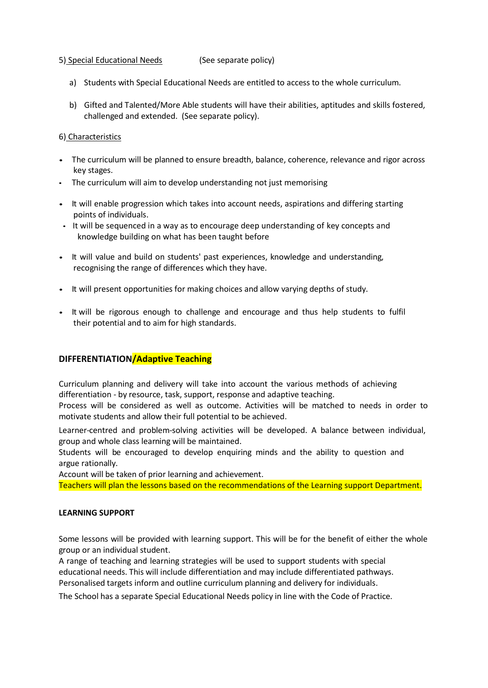#### 5) Special Educational Needs (See separate policy)

- a) Students with Special Educational Needs are entitled to access to the whole curriculum.
- b) Gifted and Talented/More Able students will have their abilities, aptitudes and skills fostered, challenged and extended. (See separate policy).

#### 6) Characteristics

- The curriculum will be planned to ensure breadth, balance, coherence, relevance and rigor across key stages.
- The curriculum will aim to develop understanding not just memorising
- It will enable progression which takes into account needs, aspirations and differing starting points of individuals.
- It will be sequenced in a way as to encourage deep understanding of key concepts and knowledge building on what has been taught before
- It will value and build on students' past experiences, knowledge and understanding, recognising the range of differences which they have.
- It will present opportunities for making choices and allow varying depths of study.
- It will be rigorous enough to challenge and encourage and thus help students to fulfil their potential and to aim for high standards.

#### **DIFFERENTIATION/Adaptive Teaching**

Curriculum planning and delivery will take into account the various methods of achieving differentiation - by resource, task, support, response and adaptive teaching.

Process will be considered as well as outcome. Activities will be matched to needs in order to motivate students and allow their full potential to be achieved.

Learner-centred and problem-solving activities will be developed. A balance between individual, group and whole class learning will be maintained.

Students will be encouraged to develop enquiring minds and the ability to question and argue rationally.

Account will be taken of prior learning and achievement.

Teachers will plan the lessons based on the recommendations of the Learning support Department.

#### **LEARNING SUPPORT**

Some lessons will be provided with learning support. This will be for the benefit of either the whole group or an individual student.

A range of teaching and learning strategies will be used to support students with special educational needs. This will include differentiation and may include differentiated pathways. Personalised targets inform and outline curriculum planning and delivery for individuals.

The School has a separate Special Educational Needs policy in line with the Code of Practice.